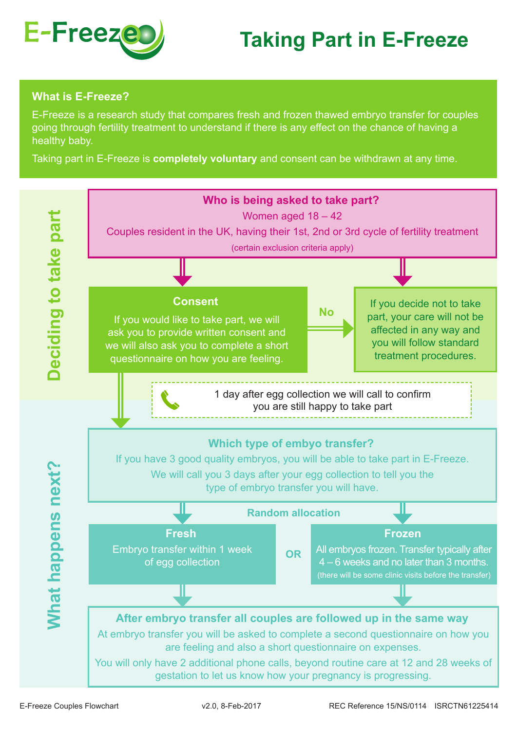

## **Taking Part in E-Freeze**

## **What is E-Freeze?**

E-Freeze is a research study that compares fresh and frozen thawed embryo transfer for couples going through fertility treatment to understand if there is any effect on the chance of having a healthy baby.

Taking part in E-Freeze is **completely voluntary** and consent can be withdrawn at any time.